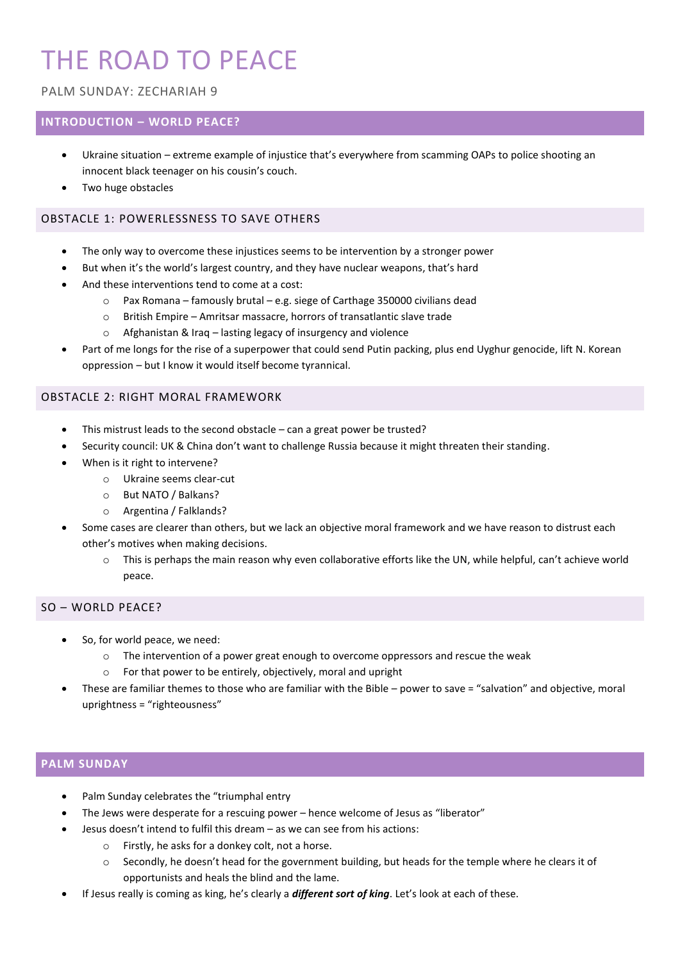# THE ROAD TO PEACE

## PALM SUNDAY: ZECHARIAH 9

# **INTRODUCTION – WORLD PEACE?**

- Ukraine situation extreme example of injustice that's everywhere from scamming OAPs to police shooting an innocent black teenager on his cousin's couch.
- Two huge obstacles

#### OBSTACLE 1: POWERLESSNESS TO SAVE OTHERS

- The only way to overcome these injustices seems to be intervention by a stronger power
- But when it's the world's largest country, and they have nuclear weapons, that's hard
- And these interventions tend to come at a cost:
	- $\circ$  Pax Romana famously brutal e.g. siege of Carthage 350000 civilians dead
	- o British Empire Amritsar massacre, horrors of transatlantic slave trade
	- o Afghanistan & Iraq lasting legacy of insurgency and violence
- Part of me longs for the rise of a superpower that could send Putin packing, plus end Uyghur genocide, lift N. Korean oppression – but I know it would itself become tyrannical.

#### OBSTACLE 2: RIGHT MORAL FRAMEWORK

- This mistrust leads to the second obstacle can a great power be trusted?
- Security council: UK & China don't want to challenge Russia because it might threaten their standing.
- When is it right to intervene?
	- o Ukraine seems clear-cut
	- o But NATO / Balkans?
	- o Argentina / Falklands?
- Some cases are clearer than others, but we lack an objective moral framework and we have reason to distrust each other's motives when making decisions.
	- o This is perhaps the main reason why even collaborative efforts like the UN, while helpful, can't achieve world peace.

#### SO – WORLD PEACE?

- So, for world peace, we need:
	- $\circ$  The intervention of a power great enough to overcome oppressors and rescue the weak
	- o For that power to be entirely, objectively, moral and upright
- These are familiar themes to those who are familiar with the Bible power to save = "salvation" and objective, moral uprightness = "righteousness"

#### **PALM SUNDAY**

- Palm Sunday celebrates the "triumphal entry
- The Jews were desperate for a rescuing power hence welcome of Jesus as "liberator"
- Jesus doesn't intend to fulfil this dream as we can see from his actions:
	- o Firstly, he asks for a donkey colt, not a horse.
	- $\circ$  Secondly, he doesn't head for the government building, but heads for the temple where he clears it of opportunists and heals the blind and the lame.
- If Jesus really is coming as king, he's clearly a *different sort of king*. Let's look at each of these.